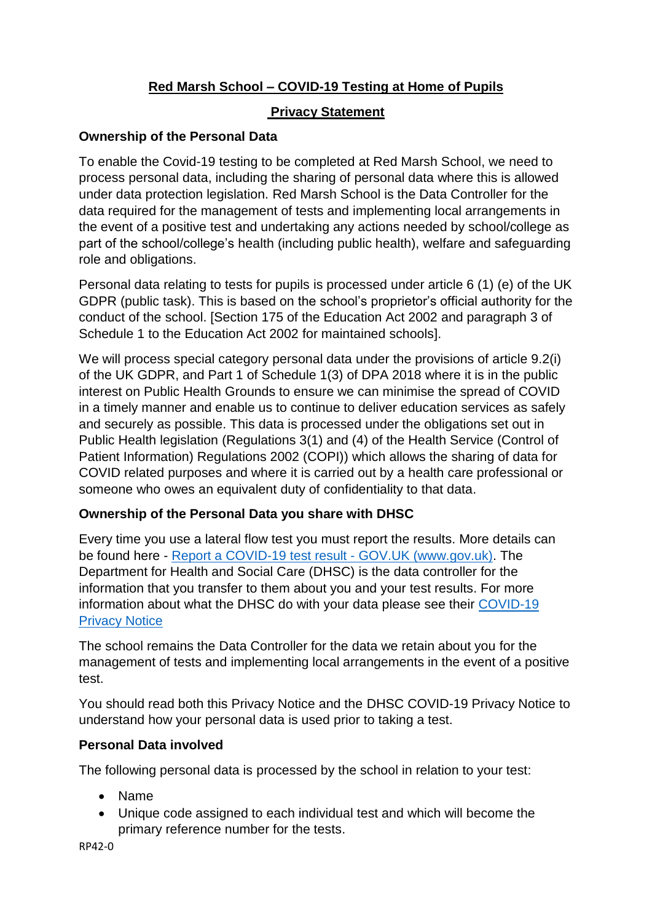# **Red Marsh School – COVID-19 Testing at Home of Pupils**

# **Privacy Statement**

# **Ownership of the Personal Data**

To enable the Covid-19 testing to be completed at Red Marsh School, we need to process personal data, including the sharing of personal data where this is allowed under data protection legislation. Red Marsh School is the Data Controller for the data required for the management of tests and implementing local arrangements in the event of a positive test and undertaking any actions needed by school/college as part of the school/college's health (including public health), welfare and safeguarding role and obligations.

Personal data relating to tests for pupils is processed under article 6 (1) (e) of the UK GDPR (public task). This is based on the school's proprietor's official authority for the conduct of the school. [Section 175 of the Education Act 2002 and paragraph 3 of Schedule 1 to the Education Act 2002 for maintained schools].

We will process special category personal data under the provisions of article 9.2(i) of the UK GDPR, and Part 1 of Schedule 1(3) of DPA 2018 where it is in the public interest on Public Health Grounds to ensure we can minimise the spread of COVID in a timely manner and enable us to continue to deliver education services as safely and securely as possible. This data is processed under the obligations set out in Public Health legislation (Regulations 3(1) and (4) of the Health Service (Control of Patient Information) Regulations 2002 (COPI)) which allows the sharing of data for COVID related purposes and where it is carried out by a health care professional or someone who owes an equivalent duty of confidentiality to that data.

### **Ownership of the Personal Data you share with DHSC**

Every time you use a lateral flow test you must report the results. More details can be found here - [Report a COVID-19 test result -](https://www.gov.uk/report-covid19-result) GOV.UK (www.gov.uk). The Department for Health and Social Care (DHSC) is the data controller for the information that you transfer to them about you and your test results. For more information about what the DHSC do with your data please see their [COVID-19](https://www.gov.uk/government/publications/coronavirus-covid-19-testing-privacy-information)  [Privacy Notice](https://www.gov.uk/government/publications/coronavirus-covid-19-testing-privacy-information)

The school remains the Data Controller for the data we retain about you for the management of tests and implementing local arrangements in the event of a positive test.

You should read both this Privacy Notice and the DHSC COVID-19 Privacy Notice to understand how your personal data is used prior to taking a test.

### **Personal Data involved**

The following personal data is processed by the school in relation to your test:

- Name
- Unique code assigned to each individual test and which will become the primary reference number for the tests.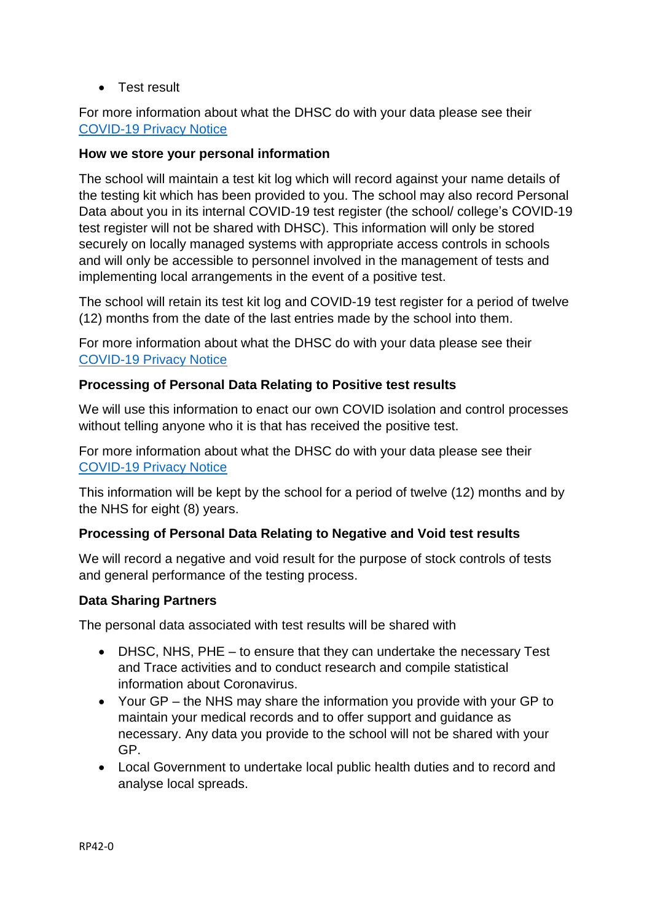**•** Test result

For more information about what the DHSC do with your data please see their [COVID-19 Privacy Notice](https://www.gov.uk/government/publications/coronavirus-covid-19-testing-privacy-information)

#### **How we store your personal information**

The school will maintain a test kit log which will record against your name details of the testing kit which has been provided to you. The school may also record Personal Data about you in its internal COVID-19 test register (the school/ college's COVID-19 test register will not be shared with DHSC). This information will only be stored securely on locally managed systems with appropriate access controls in schools and will only be accessible to personnel involved in the management of tests and implementing local arrangements in the event of a positive test.

The school will retain its test kit log and COVID-19 test register for a period of twelve (12) months from the date of the last entries made by the school into them.

For more information about what the DHSC do with your data please see their [COVID-19 Privacy Notice](https://www.gov.uk/government/publications/coronavirus-covid-19-testing-privacy-information)

#### **Processing of Personal Data Relating to Positive test results**

We will use this information to enact our own COVID isolation and control processes without telling anyone who it is that has received the positive test.

For more information about what the DHSC do with your data please see their [COVID-19 Privacy Notice](https://www.gov.uk/government/publications/coronavirus-covid-19-testing-privacy-information)

This information will be kept by the school for a period of twelve (12) months and by the NHS for eight (8) years.

#### **Processing of Personal Data Relating to Negative and Void test results**

We will record a negative and void result for the purpose of stock controls of tests and general performance of the testing process.

#### **Data Sharing Partners**

The personal data associated with test results will be shared with

- DHSC, NHS, PHE to ensure that they can undertake the necessary Test and Trace activities and to conduct research and compile statistical information about Coronavirus.
- Your GP the NHS may share the information you provide with your GP to maintain your medical records and to offer support and guidance as necessary. Any data you provide to the school will not be shared with your GP.
- Local Government to undertake local public health duties and to record and analyse local spreads.